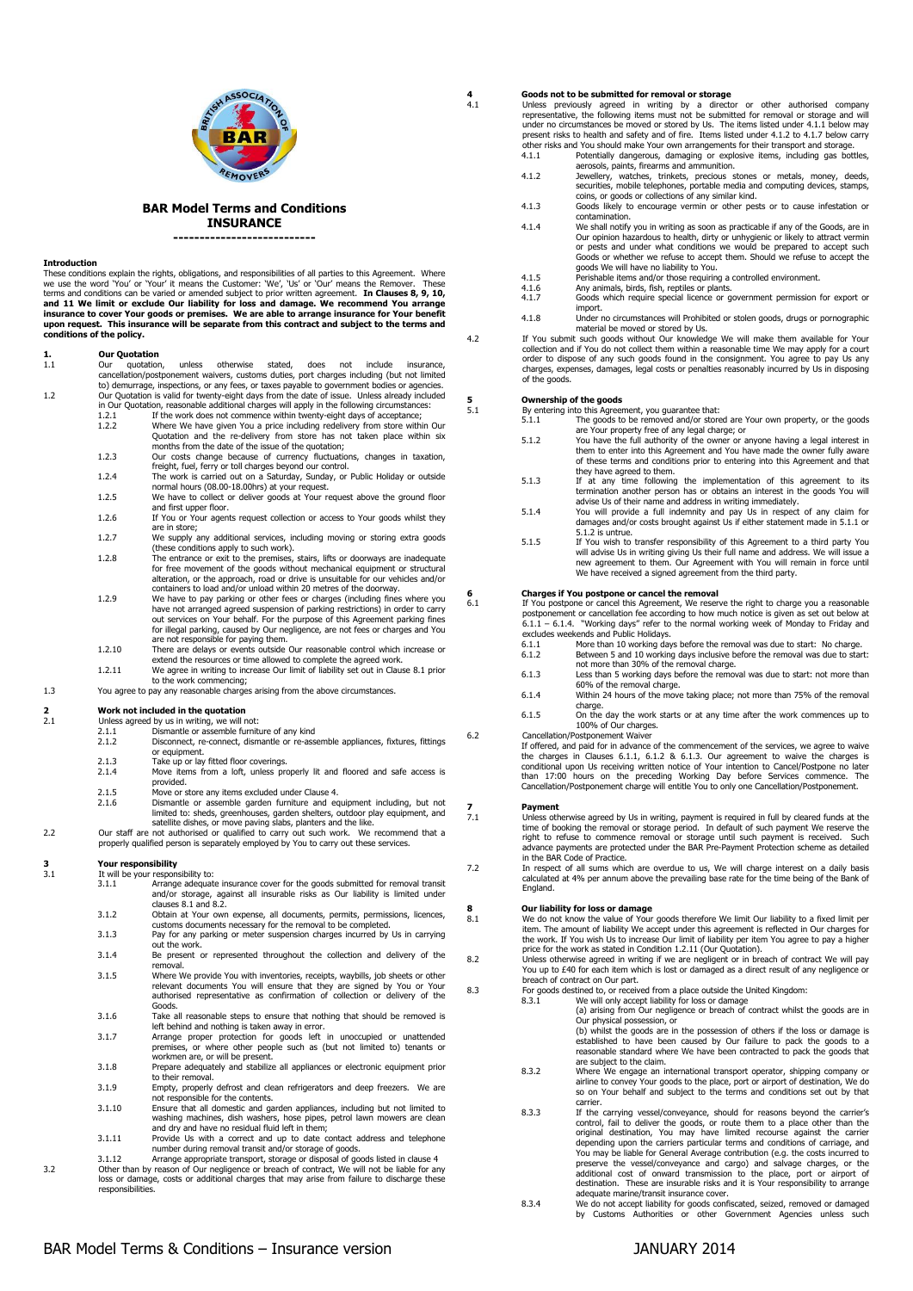



**BAR Model Terms and Conditions INSURANCE**

**---------------------------**

#### **Introduction**

These conditions explain the rights, obligations, and responsibilities of all parties to this Agreement. Where<br>we use the word 'You' or 'Your' it means the Customer: 'We', 'Us' or 'Our' means the Remover. These<br>terms and c **and 11 We limit or exclude Our liability for loss and damage. We recommend You arrange insurance to cover Your goods or premises. We are able to arrange insurance for Your benefit upon request. This insurance will be separate from this contract and subject to the terms and conditions of the policy.** 

### **1. Our Quotation**

- 1.1 Our quotation, unless otherwise stated, does not include insurance, cancellation/postponement waivers, customs duties, port charges including (but not limited to) demurrage, inspections, or any fees, or taxes payable to government bodies or agencies. 1.2 Our Quotation is valid for twenty-eight days from the date of issue. Unless already included
	- in Our Quotation, reasonable additional charges will apply in the following circumstances: 1.2.1 If the work does not commence within twenty-eight days of acceptance; 1.2.2 Where We have given You a price including redelivery from store within Our
	- Quotation and the re-delivery from store has not taken place within six months from the date of the issue of the quotation; 1.2.3 Our costs change because of currency fluctuations, changes in taxation,
	-
	- freight, fuel, ferry or toll charges beyond our control.<br>1.2.4 The work is carried out on a Saturday, Sunday, or Public Holiday or outside<br>normal hours (08.00-18.00hrs) at your request.
	- 1.2.5 We have to collect or deliver goods at Your request above the ground floor and first upper floor. 1.2.6 If You or Your agents request collection or access to Your goods whilst they
	- are in store; 1.2.7 We supply any additional services, including moving or storing extra goods
	-
	- these conditions apply to such work).<br>1.2.8 The entrance or exit to the premises, stairs, lifts or doorways are inadequate<br>for free movement of the goods without mechanical equipment or structural alteration, or the approach, road or drive is unsuitable for our vehicles and/or containers to load and/or unload within 20 metres of the doorway. 1.2.9 We have to pay parking or other fees or charges (including fines where you
	- have not arranged agreed suspension of parking restrictions) in order to carry<br>out services on Your behalf. For the purpose of this Agreement parking fines<br>for illegal parking, caused by Our negligence, are not fees or cha are not responsible for paying them. 1.2.10 There are delays or events outside Our reasonable control which increase or
	- extend the resources or time allowed to complete the agreed work. 1.2.11 We agree in writing to increase Our limit of liability set out in Clause 8.1 prior
	- to the work commencing;
- 1.3 You agree to pay any reasonable charges arising from the above circumstances.

# **2 2 Work not included in the quotation**<br>2.1 **Unless agreed by us in writing, we will r**

- 2.1 Unless agreed by us in writing, we will not: 2.1.1 Dismantle or assemble furniture of any kind
	- 2.1.2 Disconnect, re-connect, dismantle or re-assemble appliances, fixtures, fittings
	-
	- or equipment. 2.1.3 Take up or lay fitted floor coverings. 2.1.4 Move items from a loft, unless properly lit and floored and safe access is provided.
	- 2.1.5 Move or store any items excluded under Clause 4.<br>2.1.6 Dismantle or assemble garden furniture and equal
- 2.1.6 Dismantle or assemble garden furniture and equipment including, but not limited to: sheds, greenhouses, garden shelters, outdoor play equipment, and satellite dishes, or move paving slabs, planters and the like.<br>2.2 Our staff are not authorised or qualified to carry out such work. We recommend that a
	- properly qualified person is separately employed by You to carry out these services.

# **3 Your responsibility**<br>**3.1** It will be your respon

- It will be your responsibility to:<br>3.1.1 Arrange adequat Arrange adequate insurance cover for the goods submitted for removal transit and/or storage, against all insurable risks as Our liability is limited under
- clauses 8.1 and 8.2. 3.1.2 Obtain at Your own expense, all documents, permits, permissions, licences,
- customs documents necessary for the removal to be completed. 3.1.3 Pay for any parking or meter suspension charges incurred by Us in carrying out the work.
- 3.1.4 Be present or represented throughout the collection and delivery of the removal. 3.1.5 Where We provide You with inventories, receipts, waybills, job sheets or other
- relevant documents You will ensure that they are signed by You or Your authorised representative as confirmation of collection or delivery of the Goods.
- 3.1.6 Take all reasonable steps to ensure that nothing that should be removed is
- left behind and nothing is taken away in error. 3.1.7 Arrange proper protection for goods left in unoccupied or unattended premises, or where other people such as (but not limited to) tenants or workmen are, or will be present.
- 3.1.8 Prepare adequately and stabilize all appliances or electronic equipment prior to their removal.
- 3.1.9 Empty, properly defrost and clean refrigerators and deep freezers. We are not responsible for the contents.
- 3.1.10 Ensure that all domestic and garden appliances, including but not limited to washing machines, dish washers, hose pipes, petrol lawn mowers are clean and dry and have no residual fluid left in them;
- 3.1.11 Provide Us with a correct and up to date contact address and telephone number during removal transit and/or storage of goods.
- 3.1.12 Arrange appropriate transport, storage or disposal of goods listed in clause 4<br>Other than by reason of Our negligence or breach of contract, We will not be liable for any<br>loss or damage, costs or additional charges

# **4 Goods not to be submitted for removal or storage**

4.1 Unless previously agreed in writing by a director or other authorised company<br>representative, the following items must not be submitted for removal or storage and will<br>under no circumstances be moved or stored by Us. T present risks to health and safety and of fire. Items listed under 4.1.2 to 4.1.7 below carry

- other risks and You should make Your own arrangements for their transport and storage. 4.1.1 Potentially dangerous, damaging or explosive items, including gas bottles, aerosols, paints, firearms and ammunition.
- 4.1.2 Jewellery, watches, trinkets, precious stones or metals, money, deeds, securities, mobile telephones, portable media and computing devices, stamps, coins, or goods or collections of any similar kind.
- 4.1.3 Goods likely to encourage vermin or other pests or to cause infestation or contamination.
- 4.1.4 We shall notify you in writing as soon as practicable if any of the Goods, are in Our opinion hazardous to health, dirty or unhygienic or likely to attract vermin or pests and under what conditions we would be prepared to accept such Goods or whether we refuse to accept them. Should we refuse to accept the goods We will have no liability to You.
- 
- 4.1.5 Perishable items and/or those requiring a controlled environment.<br>4.1.6 Any animals, birds, fish, reptiles or plants.<br>4.1.7 Goods which require special licence or government permission 4.1.6 Any animals, birds, fish, reptiles or plants. 4.1.7 Goods which require special licence or government permission for export or
- import. 4.1.8 Under no circumstances will Prohibited or stolen goods, drugs or pornographic
- material be moved or stored by Us.<br>4.2 If You submit such goods without Our knowledge We will make them available for Your<br>collection and if You do not collect them within a reasonable time We may apply for a court
	- order to dispose of any such goods found in the consignment. You agree to pay Us any charges, expenses, damages, legal costs or penalties reasonably incurred by Us in disposing of the goods.

**5 Ownership of the goods**<br> **5.1** By entering into this Agreement, you guarantee that:

- 5.1.1 The goods to be removed and/or stored are Your own property, or the goods are Your property free of any legal charge; or
- 5.1.2 You have the full authority of the owner or anyone having a legal interest in them to enter into this Agreement and You have made the owner fully aware of these terms and conditions prior to entering into this Agreement and that
- they have agreed to them.<br>5.1.3 If at any time following the implementation of this agreement to its<br>termination another person has or obtains an interest in the goods You will
- advise Us of their name and address in writing immediately. 5.1.4 You will provide a full indemnity and pay Us in respect of any claim for damages and/or costs brought against Us if either statement made in 5.1.1 or 5.1.2 is untrue.
- 5.1.5 If You wish to transfer responsibility of this Agreement to a third party You will advise Us in writing giving Us their full name and address. We will issue a new agreement to them. Our Agreement with You will remain in force until We have received a signed agreement from the third party.

## **6 Charges if You postpone or cancel the removal**<br>**6.1 If You postpone or cancel this Agreement**. We reserve

6.1 If You postpone or cancel this Agreement, We reserve the right to charge you a reasonable postponement or cancellation fee according to how much notice is given as set out below at 6.1.1 – 6.1.4. "Working days" refer to the normal working week of Monday to Friday and excludes weekends and Public Holidays.

- 6.1.1 More than 10 working days before the removal was due to start: No charge. 6.1.2 Between 5 and 10 working days inclusive before the removal was due to start: not more than 30% of the removal charge.
- 6.1.3 Less than 5 working days before the removal was due to start: not more than 60% of the removal charge. 6.1.4 Within 24 hours of the move taking place; not more than 75% of the removal
- charge 6.1.5 On the day the work starts or at any time after the work commences up to
- 100% of Our charges. 6.2 Cancellation/Postponement Waiver

If offered, and paid for in advance of the commencement of the services, we agree to waive the charges in Clauses 6.1.1, 6.1.2 & 6.1.3. Our agreement to waive the charges is conditional upon Us receiving written notice of Your intention to Cancel/Postpone no later than 17:00 hours on the preceding Working Day before Services commence. The Cancellation/Postponement charge will entitle You to only one Cancellation/Postponement.

### **7 Payment**<br>7.1 **Unless otl**

Unless otherwise agreed by Us in writing, payment is required in full by cleared funds at the time of booking the removal or storage period. In default of such payment We reserve the<br>right to refuse to commence removal or storage until such payment is received. Such<br>advance payments are protected under the BAR Prein the BAR Code of Practice.

7.2 In respect of all sums which are overdue to us, We will charge interest on a daily basis calculated at 4% per annum above the prevailing base rate for the time being of the Bank of England.

# **8 Our liability for loss or damage**

8.1 We do not know the value of Your goods therefore We limit Our liability to a fixed limit per<br>item. The amount of liability We accept under this agreement is reflected in Our charges for<br>the work. If You wish Us to incr

price for the work as stated in Condition 1.2.11 (Our Quotation).<br>8.2 Unless otherwise agreed in writing if we are negligent or in breach of contract We will pay<br>You up to £40 for each item which is lost or

# breach of contract on Our part. 8.3 For goods destined to, or received from a place outside the United Kingdom:

8.3.1 We will only accept liability for loss or damage (a) arising from Our negligence or breach of contract whilst the goods are in Our physical possession, or

(b) whilst the goods are in the possession of others if the loss or damage is established to have been caused by Our failure to pack the goods to a reasonable standard where We have been contracted to pack the goods that are subject to the claim.

- 8.3.2 Where We engage an international transport operator, shipping company or airline to convey Your goods to the place, port or airport of destination, We do so on Your behalf and subject to the terms and conditions set out by that
- carrier. 8.3.3 If the carrying vessel/conveyance, should for reasons beyond the carrier's control, fail to deliver the goods, or route them to a place other than the original destination, You may have limited recourse against the carrier depending upon the carriers particular terms and conditions of carriage, and You may be liable for General Average contribution (e.g. the costs incurred to preserve the vessel/conveyance and cargo) and salvage charges, or the additional cost of onward transmission to the place, port or airport of destination. These are insurable risks and it is Your responsibility to arrange adequate marine/transit insurance cover.
- 8.3.4 We do not accept liability for goods confiscated, seized, removed or damaged by Customs Authorities or other Government Agencies unless such